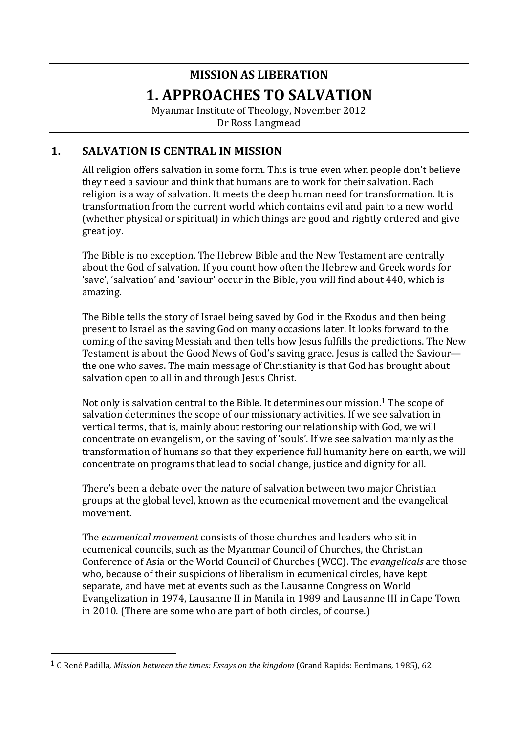# **MISSION AS LIBERATION 1. APPROACHES TO SALVATION**

Myanmar Institute of Theology, November 2012 Dr Ross Langmead

# **1. SALVATION IS CENTRAL IN MISSION**

All religion offers salvation in some form. This is true even when people don't believe they need a saviour and think that humans are to work for their salvation. Each religion is a way of salvation. It meets the deep human need for transformation. It is transformation from the current world which contains evil and pain to a new world (whether physical or spiritual) in which things are good and rightly ordered and give great joy.

The Bible is no exception. The Hebrew Bible and the New Testament are centrally about the God of salvation. If you count how often the Hebrew and Greek words for 'save', 'salvation' and 'saviour' occur in the Bible, you will find about 440, which is amazing.

The Bible tells the story of Israel being saved by God in the Exodus and then being present to Israel as the saving God on many occasions later. It looks forward to the coming of the saving Messiah and then tells how Jesus fulfills the predictions. The New Testament is about the Good News of God's saving grace. Jesus is called the Saviour the one who saves. The main message of Christianity is that God has brought about salvation open to all in and through Jesus Christ.

Not only is salvation central to the Bible. It determines our mission.<sup>1</sup> The scope of salvation determines the scope of our missionary activities. If we see salvation in vertical terms, that is, mainly about restoring our relationship with God, we will concentrate on evangelism, on the saving of 'souls'. If we see salvation mainly as the transformation of humans so that they experience full humanity here on earth, we will concentrate on programs that lead to social change, justice and dignity for all.

There's been a debate over the nature of salvation between two major Christian groups at the global level, known as the ecumenical movement and the evangelical movement.

The *ecumenical movement* consists of those churches and leaders who sit in ecumenical councils, such as the Myanmar Council of Churches, the Christian Conference of Asia or the World Council of Churches (WCC). The *evangelicals* are those who, because of their suspicions of liberalism in ecumenical circles, have kept separate, and have met at events such as the Lausanne Congress on World Evangelization in 1974, Lausanne II in Manila in 1989 and Lausanne III in Cape Town in 2010. (There are some who are part of both circles, of course.)

<sup>&</sup>lt;sup>1</sup> C René Padilla, *Mission between the times: Essays on the kingdom* (Grand Rapids: Eerdmans, 1985), 62.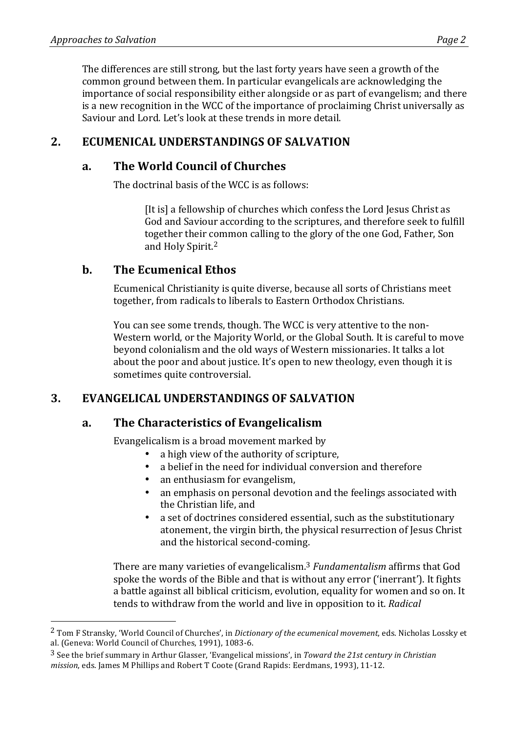The differences are still strong, but the last forty years have seen a growth of the common ground between them. In particular evangelicals are acknowledging the importance of social responsibility either alongside or as part of evangelism; and there is a new recognition in the WCC of the importance of proclaiming Christ universally as Saviour and Lord. Let's look at these trends in more detail.

# **2. ECUMENICAL UNDERSTANDINGS OF SALVATION**

### **a. The World Council of Churches**

The doctrinal basis of the WCC is as follows:

[It is] a fellowship of churches which confess the Lord Jesus Christ as God and Saviour according to the scriptures, and therefore seek to fulfill together their common calling to the glory of the one God, Father, Son and Holy Spirit.<sup>2</sup>

### **b.** The Ecumenical Ethos

 

Ecumenical Christianity is quite diverse, because all sorts of Christians meet together, from radicals to liberals to Eastern Orthodox Christians.

You can see some trends, though. The WCC is very attentive to the non-Western world, or the Majority World, or the Global South. It is careful to move beyond colonialism and the old ways of Western missionaries. It talks a lot about the poor and about justice. It's open to new theology, even though it is sometimes quite controversial.

# **3. EVANGELICAL UNDERSTANDINGS OF SALVATION**

### **a. The Characteristics of Evangelicalism**

Evangelicalism is a broad movement marked by

- a high view of the authority of scripture,
- a belief in the need for individual conversion and therefore
- an enthusiasm for evangelism.
- an emphasis on personal devotion and the feelings associated with the Christian life, and
- a set of doctrines considered essential, such as the substitutionary atonement, the virgin birth, the physical resurrection of Jesus Christ and the historical second-coming.

There are many varieties of evangelicalism.<sup>3</sup> *Fundamentalism* affirms that God spoke the words of the Bible and that is without any error ('inerrant'). It fights a battle against all biblical criticism, evolution, equality for women and so on. It tends to withdraw from the world and live in opposition to it. *Radical* 

<sup>&</sup>lt;sup>2</sup> Tom F Stransky, 'World Council of Churches', in *Dictionary of the ecumenical movement*, eds. Nicholas Lossky et al. (Geneva: World Council of Churches, 1991), 1083-6.

<sup>&</sup>lt;sup>3</sup> See the brief summary in Arthur Glasser, 'Evangelical missions', in *Toward the 21st century in Christian mission*, eds. James M Phillips and Robert T Coote (Grand Rapids: Eerdmans, 1993), 11-12.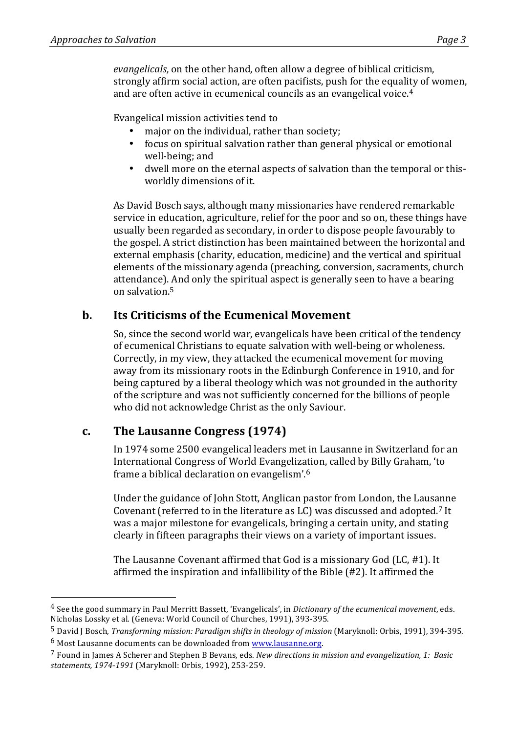Evangelical mission activities tend to

- major on the individual, rather than society;
- focus on spiritual salvation rather than general physical or emotional well-being; and
- dwell more on the eternal aspects of salvation than the temporal or thisworldly dimensions of it.

As David Bosch says, although many missionaries have rendered remarkable service in education, agriculture, relief for the poor and so on, these things have usually been regarded as secondary, in order to dispose people favourably to the gospel. A strict distinction has been maintained between the horizontal and external emphasis (charity, education, medicine) and the vertical and spiritual elements of the missionary agenda (preaching, conversion, sacraments, church attendance). And only the spiritual aspect is generally seen to have a bearing on salvation.<sup>5</sup>

# **b.** Its Criticisms of the Ecumenical Movement

So, since the second world war, evangelicals have been critical of the tendency of ecumenical Christians to equate salvation with well-being or wholeness. Correctly, in my view, they attacked the ecumenical movement for moving away from its missionary roots in the Edinburgh Conference in 1910, and for being captured by a liberal theology which was not grounded in the authority of the scripture and was not sufficiently concerned for the billions of people who did not acknowledge Christ as the only Saviour.

# c. The Lausanne Congress (1974)

In 1974 some 2500 evangelical leaders met in Lausanne in Switzerland for an International Congress of World Evangelization, called by Billy Graham, 'to frame a biblical declaration on evangelism'.<sup>6</sup>

Under the guidance of John Stott, Anglican pastor from London, the Lausanne Covenant (referred to in the literature as LC) was discussed and adopted.<sup>7</sup> It was a major milestone for evangelicals, bringing a certain unity, and stating clearly in fifteen paragraphs their views on a variety of important issues.

The Lausanne Covenant affirmed that God is a missionary God (LC,  $#1$ ). It affirmed the inspiration and infallibility of the Bible  $(\#2)$ . It affirmed the

<sup>&</sup>lt;sup>4</sup> See the good summary in Paul Merritt Bassett, 'Evangelicals', in *Dictionary of the ecumenical movement*, eds. Nicholas Lossky et al. (Geneva: World Council of Churches, 1991), 393-395.

<sup>&</sup>lt;sup>5</sup> David J Bosch, *Transforming mission: Paradigm shifts in theology of mission* (Maryknoll: Orbis, 1991), 394-395.

 $6$  Most Lausanne documents can be downloaded from www.lausanne.org.

<sup>&</sup>lt;sup>7</sup> Found in James A Scherer and Stephen B Bevans, eds. *New directions in mission and evangelization*, 1: Basic *statements, 1974-1991* (Maryknoll: Orbis, 1992), 253-259.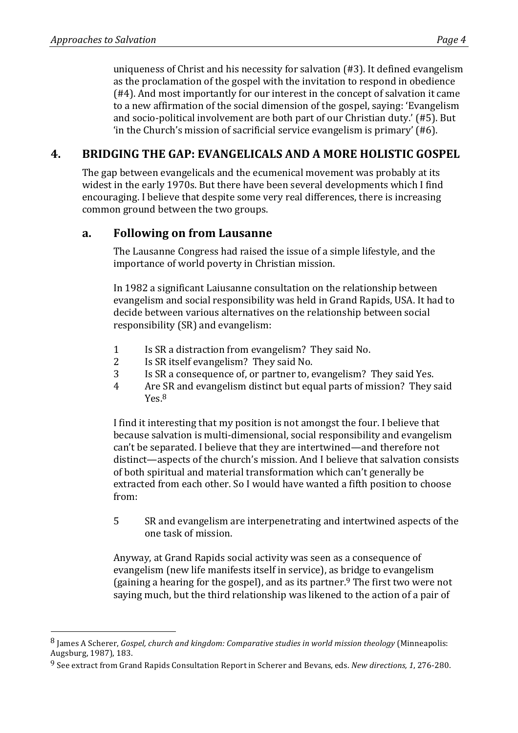uniqueness of Christ and his necessity for salvation  $(\#3)$ . It defined evangelism as the proclamation of the gospel with the invitation to respond in obedience  $(#4)$ . And most importantly for our interest in the concept of salvation it came to a new affirmation of the social dimension of the gospel, saying: 'Evangelism' and socio-political involvement are both part of our Christian duty.' (#5). But 'in the Church's mission of sacrificial service evangelism is primary' (#6).

# **4. BRIDGING THE GAP: EVANGELICALS AND A MORE HOLISTIC GOSPEL**

The gap between evangelicals and the ecumenical movement was probably at its widest in the early 1970s. But there have been several developments which I find encouraging. I believe that despite some very real differences, there is increasing common ground between the two groups.

### **a. Following on from Lausanne**

The Lausanne Congress had raised the issue of a simple lifestyle, and the importance of world poverty in Christian mission.

In 1982 a significant Laiusanne consultation on the relationship between evangelism and social responsibility was held in Grand Rapids, USA. It had to decide between various alternatives on the relationship between social responsibility (SR) and evangelism:

- 1 Is SR a distraction from evangelism? They said No.
- 2 Is SR itself evangelism? They said No.
- 3 Is SR a consequence of, or partner to, evangelism? They said Yes.
- 4 Are SR and evangelism distinct but equal parts of mission? They said Yes.8

I find it interesting that my position is not amongst the four. I believe that because salvation is multi-dimensional, social responsibility and evangelism can't be separated. I believe that they are intertwined—and therefore not distinct—aspects of the church's mission. And I believe that salvation consists of both spiritual and material transformation which can't generally be extracted from each other. So I would have wanted a fifth position to choose from:

5 SR and evangelism are interpenetrating and intertwined aspects of the one task of mission.

Anyway, at Grand Rapids social activity was seen as a consequence of evangelism (new life manifests itself in service), as bridge to evangelism (gaining a hearing for the gospel), and as its partner.<sup>9</sup> The first two were not saying much, but the third relationship was likened to the action of a pair of

<sup>&</sup>lt;sup>8</sup> James A Scherer, *Gospel, church and kingdom: Comparative studies in world mission theology* (Minneapolis: Augsburg, 1987), 183.

<sup>&</sup>lt;sup>9</sup> See extract from Grand Rapids Consultation Report in Scherer and Bevans, eds. *New directions, 1*, 276-280.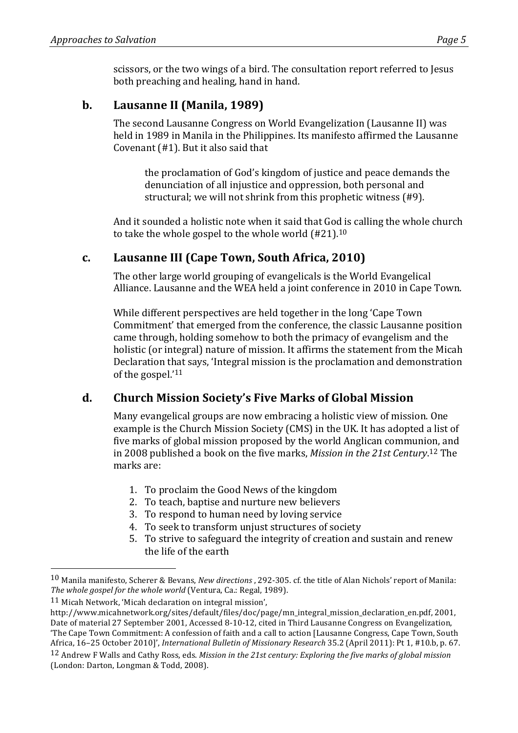# **b.** Lausanne II (Manila, 1989)

The second Lausanne Congress on World Evangelization (Lausanne II) was held in 1989 in Manila in the Philippines. Its manifesto affirmed the Lausanne Covenant  $(#1)$ . But it also said that

the proclamation of God's kingdom of justice and peace demands the denunciation of all injustice and oppression, both personal and structural; we will not shrink from this prophetic witness (#9).

And it sounded a holistic note when it said that God is calling the whole church to take the whole gospel to the whole world  $(\text{\#21})$ .<sup>10</sup>

# **c.** Lausanne III (Cape Town, South Africa, 2010)

The other large world grouping of evangelicals is the World Evangelical Alliance. Lausanne and the WEA held a joint conference in 2010 in Cape Town.

While different perspectives are held together in the long 'Cape Town Commitment' that emerged from the conference, the classic Lausanne position came through, holding somehow to both the primacy of evangelism and the holistic (or integral) nature of mission. It affirms the statement from the Micah Declaration that says, 'Integral mission is the proclamation and demonstration of the gospel.'11

# **d. Church Mission Society's Five Marks of Global Mission**

Many evangelical groups are now embracing a holistic view of mission. One example is the Church Mission Society (CMS) in the UK. It has adopted a list of five marks of global mission proposed by the world Anglican communion, and in 2008 published a book on the five marks, *Mission in the 21st Century*.<sup>12</sup> The marks are:

- 1. To proclaim the Good News of the kingdom
- 2. To teach, baptise and nurture new believers
- 3. To respond to human need by loving service
- 4. To seek to transform unjust structures of society
- 5. To strive to safeguard the integrity of creation and sustain and renew the life of the earth

<sup>&</sup>lt;sup>10</sup> Manila manifesto, Scherer & Bevans, *New directions* , 292-305, cf. the title of Alan Nichols' report of Manila: The whole gospel for the whole world (Ventura, Ca.: Regal, 1989).

<sup>11</sup> Micah Network, 'Micah declaration on integral mission',

http://www.micahnetwork.org/sites/default/files/doc/page/mn\_integral\_mission\_declaration\_en.pdf, 2001, Date of material 27 September 2001, Accessed 8-10-12, cited in Third Lausanne Congress on Evangelization, 'The Cape Town Commitment: A confession of faith and a call to action [Lausanne Congress, Cape Town, South Africa, 16-25 October 2010]', *International Bulletin of Missionary Research* 35.2 (April 2011): Pt 1, #10.b, p. 67.

<sup>&</sup>lt;sup>12</sup> Andrew F Walls and Cathy Ross, eds. *Mission in the 21st century: Exploring the five marks of global mission* (London: Darton, Longman & Todd, 2008).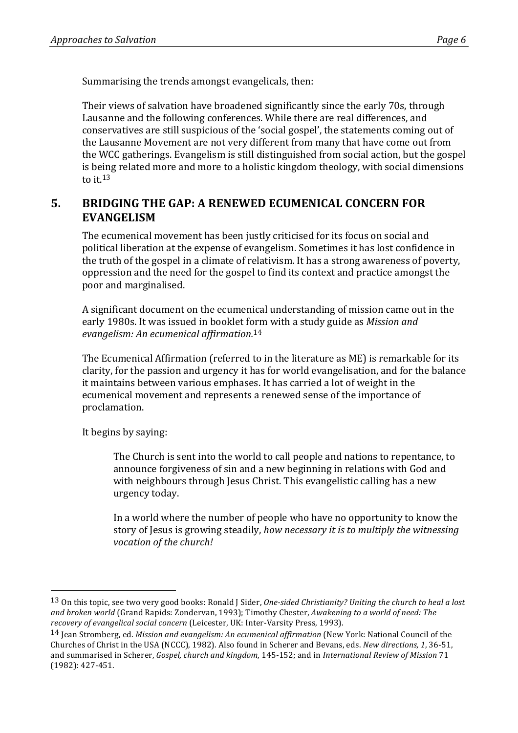Summarising the trends amongst evangelicals, then:

Their views of salvation have broadened significantly since the early 70s, through Lausanne and the following conferences. While there are real differences, and conservatives are still suspicious of the 'social gospel', the statements coming out of the Lausanne Movement are not very different from many that have come out from the WCC gatherings. Evangelism is still distinguished from social action, but the gospel is being related more and more to a holistic kingdom theology, with social dimensions to it  $13$ 

### **5. BRIDGING THE GAP: A RENEWED ECUMENICAL CONCERN FOR EVANGELISM**

The ecumenical movement has been justly criticised for its focus on social and political liberation at the expense of evangelism. Sometimes it has lost confidence in the truth of the gospel in a climate of relativism. It has a strong awareness of poverty, oppression and the need for the gospel to find its context and practice amongst the poor and marginalised.

A significant document on the ecumenical understanding of mission came out in the early 1980s. It was issued in booklet form with a study guide as *Mission and evangelism: An ecumenical affirmation.*14

The Ecumenical Affirmation (referred to in the literature as ME) is remarkable for its clarity, for the passion and urgency it has for world evangelisation, and for the balance it maintains between various emphases. It has carried a lot of weight in the ecumenical movement and represents a renewed sense of the importance of proclamation.

It begins by saying:

 

The Church is sent into the world to call people and nations to repentance, to announce forgiveness of sin and a new beginning in relations with God and with neighbours through Jesus Christ. This evangelistic calling has a new urgency today.

In a world where the number of people who have no opportunity to know the story of Jesus is growing steadily, *how necessary it is to multiply the witnessing vocation of the church!* 

<sup>&</sup>lt;sup>13</sup> On this topic, see two very good books: Ronald J Sider, *One-sided Christianity? Uniting the church* to heal a lost and broken world (Grand Rapids: Zondervan, 1993); Timothy Chester, *Awakening to a world of need: The* recovery of evangelical social concern (Leicester, UK: Inter-Varsity Press, 1993).

<sup>&</sup>lt;sup>14</sup> Jean Stromberg, ed. *Mission and evangelism: An ecumenical affirmation* (New York: National Council of the Churches of Christ in the USA (NCCC), 1982). Also found in Scherer and Bevans, eds. *New directions*, 1, 36-51, and summarised in Scherer, *Gospel, church and kingdom*, 145-152; and in *International Review of Mission* 71 (1982): 427-451.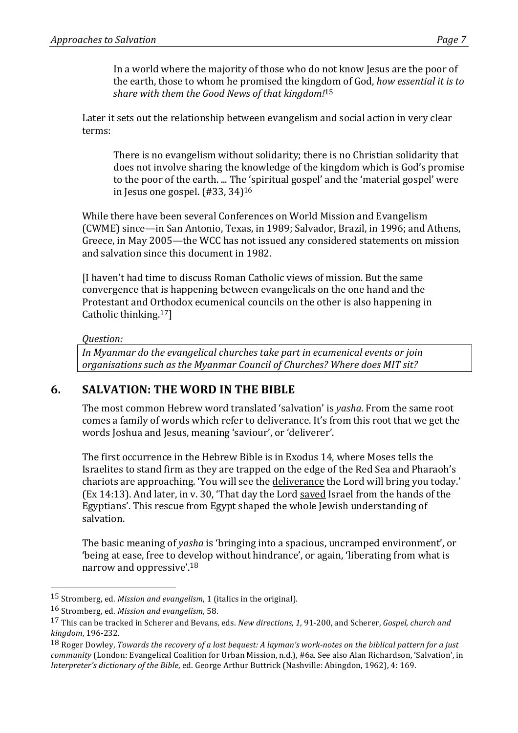Later it sets out the relationship between evangelism and social action in very clear terms:

There is no evangelism without solidarity; there is no Christian solidarity that does not involve sharing the knowledge of the kingdom which is God's promise to the poor of the earth. ... The 'spiritual gospel' and the 'material gospel' were in Jesus one gospel.  $(\text{\#33}, 34)^{16}$ 

While there have been several Conferences on World Mission and Evangelism (CWME) since—in San Antonio, Texas, in 1989; Salvador, Brazil, in 1996; and Athens, Greece, in May 2005—the WCC has not issued any considered statements on mission and salvation since this document in 1982.

[I haven't had time to discuss Roman Catholic views of mission. But the same convergence that is happening between evangelicals on the one hand and the Protestant and Orthodox ecumenical councils on the other is also happening in Catholic thinking. $17$ ]

#### *Question:*

In Myanmar do the evangelical churches take part in ecumenical events or join organisations such as the Myanmar Council of Churches? Where does MIT sit?

# **6. SALVATION: THE WORD IN THE BIBLE**

The most common Hebrew word translated 'salvation' is *yasha*. From the same root comes a family of words which refer to deliverance. It's from this root that we get the words Joshua and Jesus, meaning 'saviour', or 'deliverer'.

The first occurrence in the Hebrew Bible is in Exodus 14, where Moses tells the Israelites to stand firm as they are trapped on the edge of the Red Sea and Pharaoh's chariots are approaching. 'You will see the deliverance the Lord will bring you today.' (Ex 14:13). And later, in v. 30, 'That day the Lord saved Israel from the hands of the Egyptians'. This rescue from Egypt shaped the whole Jewish understanding of salvation.

The basic meaning of *yasha* is 'bringing into a spacious, uncramped environment', or 'being at ease, free to develop without hindrance', or again, 'liberating from what is narrow and oppressive'.<sup>18</sup>

<sup>15</sup> Stromberg, ed. *Mission and evangelism*, 1 (italics in the original).

<sup>16</sup> Stromberg, ed. *Mission and evangelism*, 58.

<sup>17</sup> This can be tracked in Scherer and Bevans, eds. *New directions, 1*, 91-200, and Scherer, *Gospel, church and kingdom*, 196-232.

<sup>&</sup>lt;sup>18</sup> Roger Dowley, *Towards the recovery of a lost bequest: A layman's work-notes on the biblical pattern for a just community* (London: Evangelical Coalition for Urban Mission, n.d.), #6a. See also Alan Richardson, 'Salvation', in *Interpreter's dictionary of the Bible*, ed. George Arthur Buttrick (Nashville: Abingdon, 1962), 4: 169.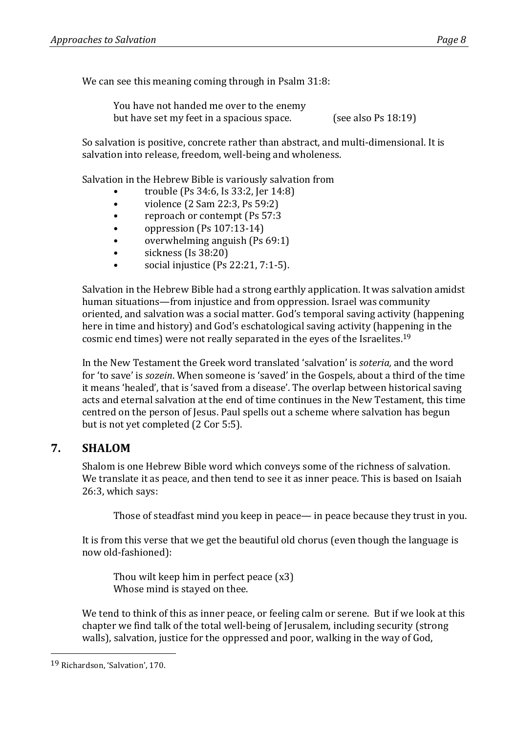We can see this meaning coming through in Psalm 31:8:

You have not handed me over to the enemy but have set my feet in a spacious space. (see also Ps 18:19)

So salvation is positive, concrete rather than abstract, and multi-dimensional. It is salvation into release, freedom, well-being and wholeness.

Salvation in the Hebrew Bible is variously salvation from

- trouble (Ps 34:6, Is 33:2, Jer 14:8)
- violence  $(2 \text{ Sam } 22:3, \text{Ps } 59:2)$
- reproach or contempt (Ps 57:3)
- oppression  $(Ps 107:13-14)$
- overwhelming anguish  $(Ps 69:1)$
- $\bullet$  sickness (Is 38:20)
- social injustice  $(Ps 22:21, 7:1-5)$ .

Salvation in the Hebrew Bible had a strong earthly application. It was salvation amidst human situations—from injustice and from oppression. Israel was community oriented, and salvation was a social matter. God's temporal saving activity (happening here in time and history) and God's eschatological saving activity (happening in the cosmic end times) were not really separated in the eves of the Israelites.<sup>19</sup>

In the New Testament the Greek word translated 'salvation' is *soteria*, and the word for 'to save' is *sozein*. When someone is 'saved' in the Gospels, about a third of the time it means 'healed', that is 'saved from a disease'. The overlap between historical saving acts and eternal salvation at the end of time continues in the New Testament, this time centred on the person of Jesus. Paul spells out a scheme where salvation has begun but is not yet completed (2 Cor 5:5).

# **7. SHALOM**

Shalom is one Hebrew Bible word which conveys some of the richness of salvation. We translate it as peace, and then tend to see it as inner peace. This is based on Isaiah 26:3, which says:

Those of steadfast mind you keep in peace— in peace because they trust in you.

It is from this verse that we get the beautiful old chorus (even though the language is now old-fashioned):

Thou wilt keep him in perfect peace  $(x3)$ Whose mind is stayed on thee.

We tend to think of this as inner peace, or feeling calm or serene. But if we look at this chapter we find talk of the total well-being of Jerusalem, including security (strong walls), salvation, justice for the oppressed and poor, walking in the way of God,

<sup>19</sup> Richardson, 'Salvation', 170.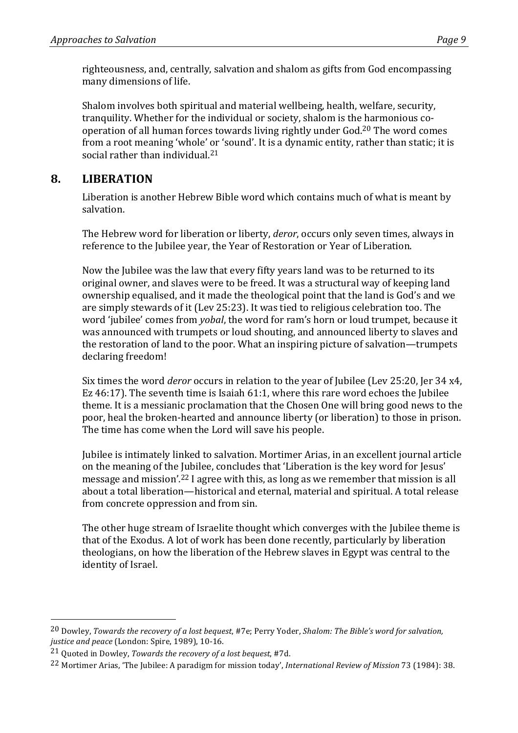righteousness, and, centrally, salvation and shalom as gifts from God encompassing many dimensions of life.

Shalom involves both spiritual and material wellbeing, health, welfare, security, tranquility. Whether for the individual or society, shalom is the harmonious cooperation of all human forces towards living rightly under God.<sup>20</sup> The word comes from a root meaning 'whole' or 'sound'. It is a dynamic entity, rather than static; it is social rather than individual. $21$ 

# **8. LIBERATION**

Liberation is another Hebrew Bible word which contains much of what is meant by salvation.

The Hebrew word for liberation or liberty, *deror*, occurs only seven times, always in reference to the Jubilee year, the Year of Restoration or Year of Liberation.

Now the Jubilee was the law that every fifty years land was to be returned to its original owner, and slaves were to be freed. It was a structural way of keeping land ownership equalised, and it made the theological point that the land is God's and we are simply stewards of it (Lev 25:23). It was tied to religious celebration too. The word 'jubilee' comes from *yobal*, the word for ram's horn or loud trumpet, because it was announced with trumpets or loud shouting, and announced liberty to slaves and the restoration of land to the poor. What an inspiring picture of salvation—trumpets declaring freedom!

Six times the word *deror* occurs in relation to the year of Jubilee (Lev 25:20, Jer 34 x4, Ez 46:17). The seventh time is Isaiah  $61:1$ , where this rare word echoes the Jubilee theme. It is a messianic proclamation that the Chosen One will bring good news to the poor, heal the broken-hearted and announce liberty (or liberation) to those in prison. The time has come when the Lord will save his people.

Jubilee is intimately linked to salvation. Mortimer Arias, in an excellent journal article on the meaning of the Jubilee, concludes that 'Liberation is the key word for Jesus' message and mission'.<sup>22</sup> I agree with this, as long as we remember that mission is all about a total liberation—historical and eternal, material and spiritual. A total release from concrete oppression and from sin.

The other huge stream of Israelite thought which converges with the Jubilee theme is that of the Exodus. A lot of work has been done recently, particularly by liberation theologians, on how the liberation of the Hebrew slaves in Egypt was central to the identity of Israel.

<sup>&</sup>lt;sup>20</sup> Dowley, *Towards the recovery of a lost bequest*, #7e; Perry Yoder, *Shalom: The Bible's word for salvation*, justice and peace (London: Spire, 1989), 10-16.

<sup>&</sup>lt;sup>21</sup> Quoted in Dowley, *Towards the recovery of a lost bequest*, #7d.

<sup>&</sup>lt;sup>22</sup> Mortimer Arias, 'The Jubilee: A paradigm for mission today', *International Review of Mission* 73 (1984): 38.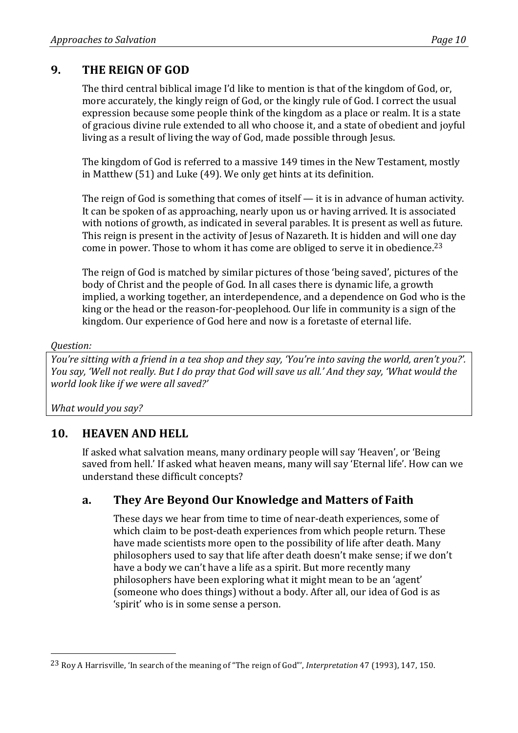# **9. THE REIGN OF GOD**

The third central biblical image I'd like to mention is that of the kingdom of God, or, more accurately, the kingly reign of God, or the kingly rule of God. I correct the usual expression because some people think of the kingdom as a place or realm. It is a state of gracious divine rule extended to all who choose it, and a state of obedient and joyful living as a result of living the way of God, made possible through Jesus.

The kingdom of God is referred to a massive 149 times in the New Testament, mostly in Matthew  $(51)$  and Luke  $(49)$ . We only get hints at its definition.

The reign of God is something that comes of itself  $-$  it is in advance of human activity. It can be spoken of as approaching, nearly upon us or having arrived. It is associated with notions of growth, as indicated in several parables. It is present as well as future. This reign is present in the activity of Jesus of Nazareth. It is hidden and will one day come in power. Those to whom it has come are obliged to serve it in obedience.<sup>23</sup>

The reign of God is matched by similar pictures of those 'being saved', pictures of the body of Christ and the people of God. In all cases there is dynamic life, a growth implied, a working together, an interdependence, and a dependence on God who is the king or the head or the reason-for-peoplehood. Our life in community is a sign of the kingdom. Our experience of God here and now is a foretaste of eternal life.

#### *Question:*

*You're sitting with a friend in a tea shop and they say, 'You're into saving the world, aren't you?'. You say, 'Well not really. But I do pray that God will save us all.' And they say, 'What would the world look like if we were all saved?'* 

What would you say?

# 10. **HEAVEN AND HELL**

 

If asked what salvation means, many ordinary people will say 'Heaven', or 'Being saved from hell.' If asked what heaven means, many will say 'Eternal life'. How can we understand these difficult concepts?

### **a. They Are Beyond Our Knowledge and Matters of Faith**

These days we hear from time to time of near-death experiences, some of which claim to be post-death experiences from which people return. These have made scientists more open to the possibility of life after death. Many philosophers used to say that life after death doesn't make sense; if we don't have a body we can't have a life as a spirit. But more recently many philosophers have been exploring what it might mean to be an 'agent' (someone who does things) without a body. After all, our idea of God is as 'spirit' who is in some sense a person.

<sup>&</sup>lt;sup>23</sup> Roy A Harrisville, 'In search of the meaning of "The reign of God"', *Interpretation* 47 (1993), 147, 150.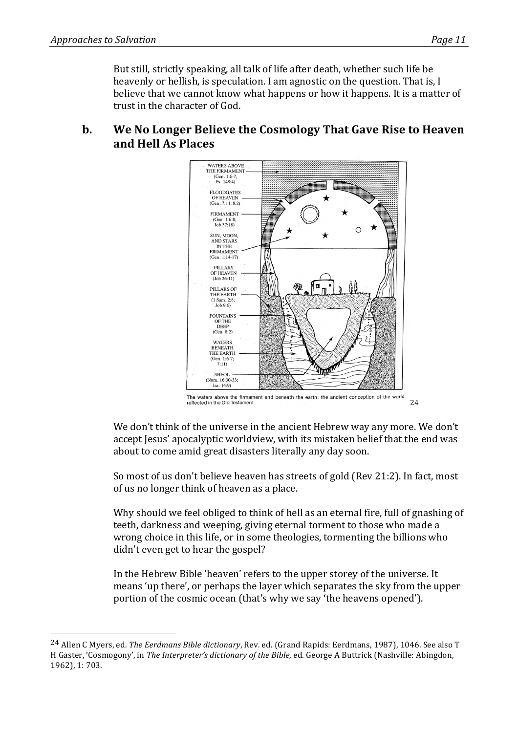But still, strictly speaking, all talk of life after death, whether such life be heavenly or hellish, is speculation. I am agnostic on the question. That is, I believe that we cannot know what happens or how it happens. It is a matter of trust in the character of God.

### **b.** We No Longer Believe the Cosmology That Gave Rise to Heaven **and Hell As Places**



We don't think of the universe in the ancient Hebrew way any more. We don't accept lesus' apocalyptic worldview, with its mistaken belief that the end was about to come amid great disasters literally any day soon.

So most of us don't believe heaven has streets of gold (Rev 21:2). In fact, most of us no longer think of heaven as a place.

Why should we feel obliged to think of hell as an eternal fire, full of gnashing of teeth, darkness and weeping, giving eternal torment to those who made a wrong choice in this life, or in some theologies, tormenting the billions who didn't even get to hear the gospel?

In the Hebrew Bible 'heaven' refers to the upper storey of the universe. It means 'up there', or perhaps the laver which separates the sky from the upper portion of the cosmic ocean (that's why we say 'the heavens opened').

<sup>&</sup>lt;sup>24</sup> Allen C Mvers, ed. *The Eerdmans Bible dictionary*, Rev. ed. (Grand Rapids: Eerdmans, 1987), 1046. See also T H Gaster, 'Cosmogony', in *The Interpreter's dictionary of the Bible*, ed. George A Buttrick (Nashville: Abingdon, 1962), 1: 703.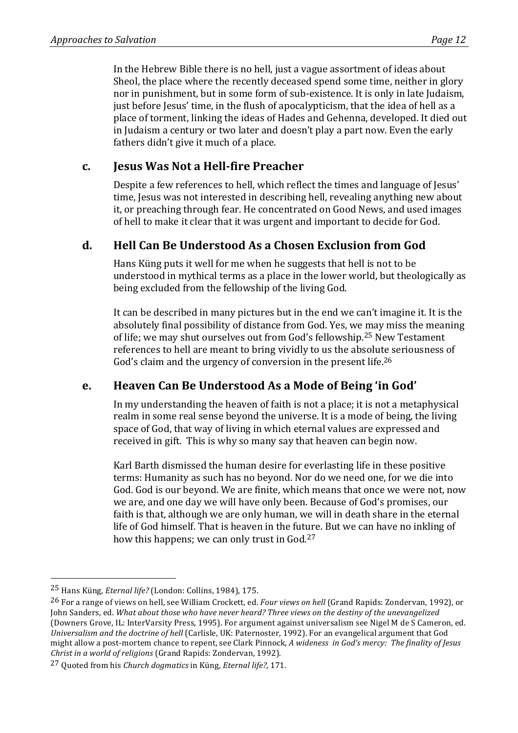In the Hebrew Bible there is no hell, just a vague assortment of ideas about Sheol, the place where the recently deceased spend some time, neither in glory nor in punishment, but in some form of sub-existence. It is only in late Judaism, just before Jesus' time, in the flush of apocalypticism, that the idea of hell as a place of torment, linking the ideas of Hades and Gehenna, developed. It died out in Judaism a century or two later and doesn't play a part now. Even the early fathers didn't give it much of a place.

### **c. Jesus Was Not a Hell-fire Preacher**

Despite a few references to hell, which reflect the times and language of Jesus' time, Jesus was not interested in describing hell, revealing anything new about it, or preaching through fear. He concentrated on Good News, and used images of hell to make it clear that it was urgent and important to decide for God.

### **d. Hell Can Be Understood As a Chosen Exclusion from God**

Hans Küng puts it well for me when he suggests that hell is not to be understood in mythical terms as a place in the lower world, but theologically as being excluded from the fellowship of the living God.

It can be described in many pictures but in the end we can't imagine it. It is the absolutely final possibility of distance from God. Yes, we may miss the meaning of life; we may shut ourselves out from God's fellowship.<sup>25</sup> New Testament references to hell are meant to bring vividly to us the absolute seriousness of God's claim and the urgency of conversion in the present life.<sup>26</sup>

# **e. Heaven Can Be Understood As a Mode of Being 'in God'**

In my understanding the heaven of faith is not a place; it is not a metaphysical realm in some real sense beyond the universe. It is a mode of being, the living space of God, that way of living in which eternal values are expressed and received in gift. This is why so many say that heaven can begin now.

Karl Barth dismissed the human desire for everlasting life in these positive terms: Humanity as such has no beyond. Nor do we need one, for we die into God. God is our beyond. We are finite, which means that once we were not, now we are, and one day we will have only been. Because of God's promises, our faith is that, although we are only human, we will in death share in the eternal life of God himself. That is heaven in the future. But we can have no inkling of how this happens; we can only trust in  $God.^27$ 

<sup>&</sup>lt;sup>25</sup> Hans Küng, *Eternal life?* (London: Collins, 1984), 175.

<sup>&</sup>lt;sup>26</sup> For a range of views on hell, see William Crockett, ed. *Four views on hell* (Grand Rapids: Zondervan, 1992), or John Sanders, ed. What about those who have never heard? Three views on the destiny of the unevangelized (Downers Grove, IL: InterVarsity Press, 1995). For argument against universalism see Nigel M de S Cameron, ed. *Universalism and the doctrine of hell* (Carlisle, UK: Paternoster, 1992). For an evangelical argument that God might allow a post-mortem chance to repent, see Clark Pinnock, *A wideness in God's mercy: The finality of Jesus Christ in a world of religions* (Grand Rapids: Zondervan, 1992).

<sup>27</sup> Quoted from his *Church dogmatics* in Küng, *Eternal life?*, 171.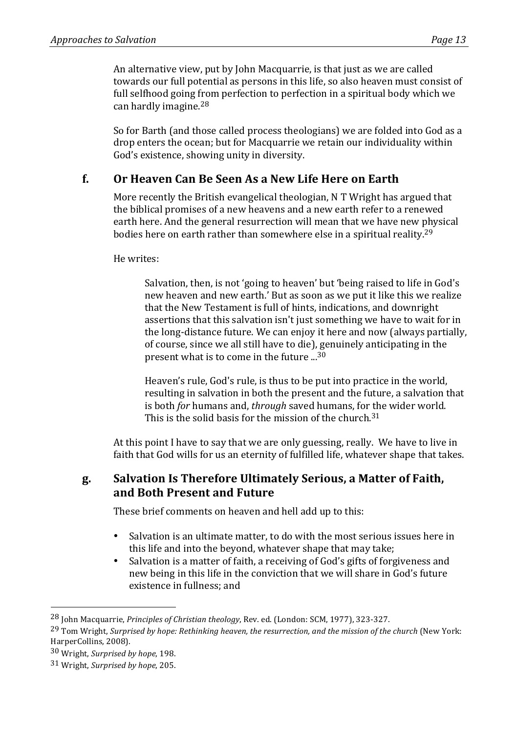An alternative view, put by John Macquarrie, is that just as we are called towards our full potential as persons in this life, so also heaven must consist of full selfhood going from perfection to perfection in a spiritual body which we can hardly imagine. $28$ 

So for Barth (and those called process theologians) we are folded into God as a drop enters the ocean; but for Macquarrie we retain our individuality within God's existence, showing unity in diversity.

# **f. Or Heaven Can Be Seen As a New Life Here on Earth**

More recently the British evangelical theologian, N T Wright has argued that the biblical promises of a new heavens and a new earth refer to a renewed earth here. And the general resurrection will mean that we have new physical bodies here on earth rather than somewhere else in a spiritual reality.<sup>29</sup>

He writes:

Salvation, then, is not 'going to heaven' but 'being raised to life in God's new heaven and new earth.' But as soon as we put it like this we realize that the New Testament is full of hints, indications, and downright assertions that this salvation isn't just something we have to wait for in the long-distance future. We can enjoy it here and now (always partially, of course, since we all still have to die), genuinely anticipating in the present what is to come in the future  $\ldots$ <sup>30</sup>

Heaven's rule, God's rule, is thus to be put into practice in the world, resulting in salvation in both the present and the future, a salvation that is both *for* humans and, *through* saved humans, for the wider world. This is the solid basis for the mission of the church.<sup>31</sup>

At this point I have to say that we are only guessing, really. We have to live in faith that God wills for us an eternity of fulfilled life, whatever shape that takes.

### g. Salvation Is Therefore Ultimately Serious, a Matter of Faith, **and Both Present and Future**

These brief comments on heaven and hell add up to this:

- Salvation is an ultimate matter, to do with the most serious issues here in this life and into the beyond, whatever shape that may take;
- Salvation is a matter of faith, a receiving of God's gifts of forgiveness and new being in this life in the conviction that we will share in God's future existence in fullness; and

<sup>&</sup>lt;sup>28</sup> John Macquarrie, *Principles of Christian theology*, Rev. ed. (London: SCM, 1977), 323-327.

<sup>&</sup>lt;sup>29</sup> Tom Wright. Surprised by hope: Rethinking heaven, the resurrection, and the mission of the church (New York: HarperCollins, 2008).

<sup>30</sup> Wright, *Surprised by hope*, 198.

<sup>31</sup> Wright, *Surprised by hope*, 205.